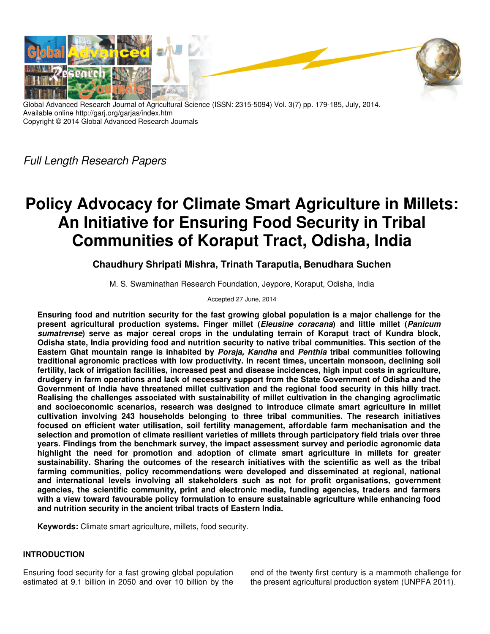

Global Advanced Research Journal of Agricultural Science (ISSN: 2315-5094) Vol. 3(7) pp. 179-185, July, 2014. Available online http://garj.org/garjas/index.htm Copyright © 2014 Global Advanced Research Journals

Full Length Research Papers

# **Policy Advocacy for Climate Smart Agriculture in Millets: An Initiative for Ensuring Food Security in Tribal Communities of Koraput Tract, Odisha, India**

**Chaudhury Shripati Mishra, Trinath Taraputia, Benudhara Suchen** 

M. S. Swaminathan Research Foundation, Jeypore, Koraput, Odisha, India

Accepted 27 June, 2014

**Ensuring food and nutrition security for the fast growing global population is a major challenge for the present agricultural production systems. Finger millet (Eleusine coracana) and little millet (Panicum sumatrense) serve as major cereal crops in the undulating terrain of Koraput tract of Kundra block, Odisha state, India providing food and nutrition security to native tribal communities. This section of the Eastern Ghat mountain range is inhabited by Poraja, Kandha and Penthia tribal communities following traditional agronomic practices with low productivity. In recent times, uncertain monsoon, declining soil fertility, lack of irrigation facilities, increased pest and disease incidences, high input costs in agriculture, drudgery in farm operations and lack of necessary support from the State Government of Odisha and the Government of India have threatened millet cultivation and the regional food security in this hilly tract. Realising the challenges associated with sustainability of millet cultivation in the changing agroclimatic and socioeconomic scenarios, research was designed to introduce climate smart agriculture in millet cultivation involving 243 households belonging to three tribal communities. The research initiatives focused on efficient water utilisation, soil fertility management, affordable farm mechanisation and the selection and promotion of climate resilient varieties of millets through participatory field trials over three years. Findings from the benchmark survey, the impact assessment survey and periodic agronomic data highlight the need for promotion and adoption of climate smart agriculture in millets for greater sustainability. Sharing the outcomes of the research initiatives with the scientific as well as the tribal farming communities, policy recommendations were developed and disseminated at regional, national and international levels involving all stakeholders such as not for profit organisations, government agencies, the scientific community, print and electronic media, funding agencies, traders and farmers with a view toward favourable policy formulation to ensure sustainable agriculture while enhancing food and nutrition security in the ancient tribal tracts of Eastern India.** 

**Keywords:** Climate smart agriculture, millets, food security.

## **INTRODUCTION**

Ensuring food security for a fast growing global population estimated at 9.1 billion in 2050 and over 10 billion by the end of the twenty first century is a mammoth challenge for the present agricultural production system (UNPFA 2011).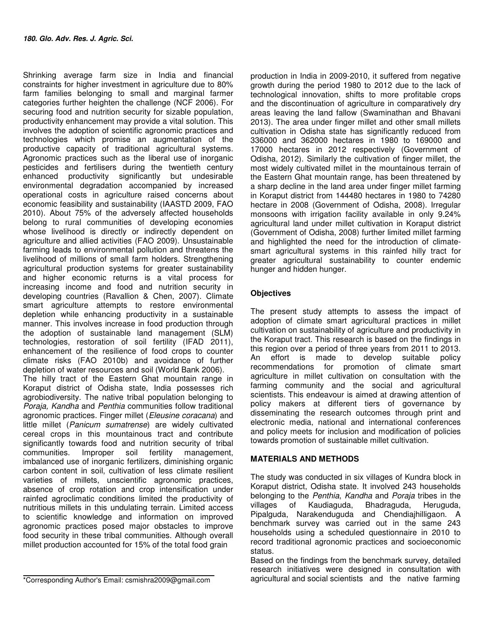Shrinking average farm size in India and financial constraints for higher investment in agriculture due to 80% farm families belonging to small and marginal farmer categories further heighten the challenge (NCF 2006). For securing food and nutrition security for sizable population, productivity enhancement may provide a vital solution. This involves the adoption of scientific agronomic practices and technologies which promise an augmentation of the productive capacity of traditional agricultural systems. Agronomic practices such as the liberal use of inorganic pesticides and fertilisers during the twentieth century enhanced productivity significantly but undesirable environmental degradation accompanied by increased operational costs in agriculture raised concerns about economic feasibility and sustainability (IAASTD 2009, FAO 2010). About 75% of the adversely affected households belong to rural communities of developing economies whose livelihood is directly or indirectly dependent on agriculture and allied activities (FAO 2009). Unsustainable farming leads to environmental pollution and threatens the livelihood of millions of small farm holders. Strengthening agricultural production systems for greater sustainability and higher economic returns is a vital process for increasing income and food and nutrition security in developing countries (Ravallion & Chen, 2007). Climate smart agriculture attempts to restore environmental depletion while enhancing productivity in a sustainable manner. This involves increase in food production through the adoption of sustainable land management (SLM) technologies, restoration of soil fertility (IFAD 2011), enhancement of the resilience of food crops to counter climate risks (FAO 2010b) and avoidance of further depletion of water resources and soil (World Bank 2006). The hilly tract of the Eastern Ghat mountain range in Koraput district of Odisha state, India possesses rich agrobiodiversity. The native tribal population belonging to Poraja, Kandha and Penthia communities follow traditional agronomic practices. Finger millet (Eleusine coracana) and little millet (Panicum sumatrense) are widely cultivated cereal crops in this mountainous tract and contribute significantly towards food and nutrition security of tribal communities. Improper soil fertility management, imbalanced use of inorganic fertilizers, diminishing organic carbon content in soil, cultivation of less climate resilient varieties of millets, unscientific agronomic practices, absence of crop rotation and crop intensification under rainfed agroclimatic conditions limited the productivity of nutritious millets in this undulating terrain. Limited access to scientific knowledge and information on improved agronomic practices posed major obstacles to improve

food security in these tribal communities. Although overall millet production accounted for 15% of the total food grain

\*Corresponding Author's Email: csmishra2009@gmail.com

production in India in 2009-2010, it suffered from negative growth during the period 1980 to 2012 due to the lack of technological innovation, shifts to more profitable crops and the discontinuation of agriculture in comparatively dry areas leaving the land fallow (Swaminathan and Bhavani 2013). The area under finger millet and other small millets cultivation in Odisha state has significantly reduced from 336000 and 362000 hectares in 1980 to 169000 and 17000 hectares in 2012 respectively (Government of Odisha, 2012). Similarly the cultivation of finger millet, the most widely cultivated millet in the mountainous terrain of the Eastern Ghat mountain range, has been threatened by a sharp decline in the land area under finger millet farming in Koraput district from 144480 hectares in 1980 to 74280 hectare in 2008 (Government of Odisha, 2008). Irregular monsoons with irrigation facility available in only 9.24% agricultural land under millet cultivation in Koraput district (Government of Odisha, 2008) further limited millet farming and highlighted the need for the introduction of climatesmart agricultural systems in this rainfed hilly tract for greater agricultural sustainability to counter endemic hunger and hidden hunger.

## **Objectives**

The present study attempts to assess the impact of adoption of climate smart agricultural practices in millet cultivation on sustainability of agriculture and productivity in the Koraput tract. This research is based on the findings in this region over a period of three years from 2011 to 2013. An effort is made to develop suitable policy recommendations for promotion of climate smart agriculture in millet cultivation on consultation with the farming community and the social and agricultural scientists. This endeavour is aimed at drawing attention of policy makers at different tiers of governance by disseminating the research outcomes through print and electronic media, national and international conferences and policy meets for inclusion and modification of policies towards promotion of sustainable millet cultivation.

## **MATERIALS AND METHODS**

The study was conducted in six villages of Kundra block in Koraput district, Odisha state. It involved 243 households belonging to the Penthia, Kandha and Poraja tribes in the villages of Kaudiaguda, Bhadraguda, Heruguda, Pipalguda, Narakenduguda and Chendiajhilligaon. A benchmark survey was carried out in the same 243 households using a scheduled questionnaire in 2010 to record traditional agronomic practices and socioeconomic status.

Based on the findings from the benchmark survey, detailed research initiatives were designed in consultation with agricultural and social scientists and the native farming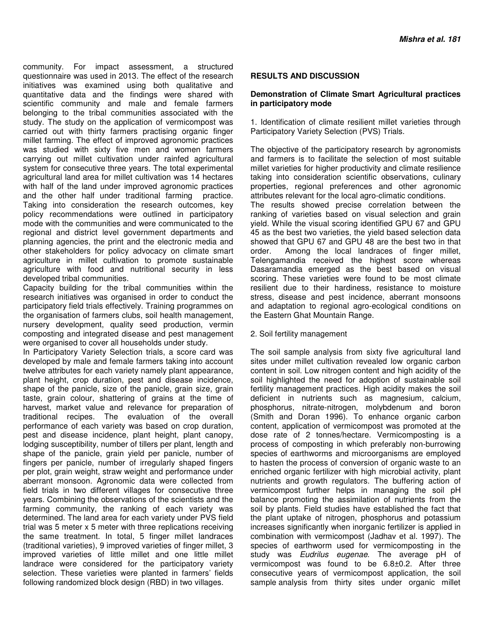community. For impact assessment, a structured questionnaire was used in 2013. The effect of the research initiatives was examined using both qualitative and quantitative data and the findings were shared with scientific community and male and female farmers belonging to the tribal communities associated with the study. The study on the application of vermicompost was carried out with thirty farmers practising organic finger millet farming. The effect of improved agronomic practices was studied with sixty five men and women farmers carrying out millet cultivation under rainfed agricultural system for consecutive three years. The total experimental agricultural land area for millet cultivation was 14 hectares with half of the land under improved agronomic practices and the other half under traditional farming practice. Taking into consideration the research outcomes, key policy recommendations were outlined in participatory mode with the communities and were communicated to the regional and district level government departments and planning agencies, the print and the electronic media and other stakeholders for policy advocacy on climate smart agriculture in millet cultivation to promote sustainable agriculture with food and nutritional security in less developed tribal communities.

Capacity building for the tribal communities within the research initiatives was organised in order to conduct the participatory field trials effectively. Training programmes on the organisation of farmers clubs, soil health management, nursery development, quality seed production, vermin composting and integrated disease and pest management were organised to cover all households under study.

In Participatory Variety Selection trials, a score card was developed by male and female farmers taking into account twelve attributes for each variety namely plant appearance, plant height, crop duration, pest and disease incidence, shape of the panicle, size of the panicle, grain size, grain taste, grain colour, shattering of grains at the time of harvest, market value and relevance for preparation of traditional recipes. The evaluation of the overall performance of each variety was based on crop duration, pest and disease incidence, plant height, plant canopy, lodging susceptibility, number of tillers per plant, length and shape of the panicle, grain yield per panicle, number of fingers per panicle, number of irregularly shaped fingers per plot, grain weight, straw weight and performance under aberrant monsoon. Agronomic data were collected from field trials in two different villages for consecutive three years. Combining the observations of the scientists and the farming community, the ranking of each variety was determined. The land area for each variety under PVS field trial was 5 meter x 5 meter with three replications receiving the same treatment. In total, 5 finger millet landraces (traditional varieties), 9 improved varieties of finger millet, 3 improved varieties of little millet and one little millet landrace were considered for the participatory variety selection. These varieties were planted in farmers' fields following randomized block design (RBD) in two villages.

## **RESULTS AND DISCUSSION**

## **Demonstration of Climate Smart Agricultural practices in participatory mode**

1. Identification of climate resilient millet varieties through Participatory Variety Selection (PVS) Trials.

The objective of the participatory research by agronomists and farmers is to facilitate the selection of most suitable millet varieties for higher productivity and climate resilience taking into consideration scientific observations, culinary properties, regional preferences and other agronomic attributes relevant for the local agro-climatic conditions. The results showed precise correlation between the ranking of varieties based on visual selection and grain yield. While the visual scoring identified GPU 67 and GPU 45 as the best two varieties, the yield based selection data showed that GPU 67 and GPU 48 are the best two in that order. Among the local landraces of finger millet, Telengamandia received the highest score whereas Dasaramandia emerged as the best based on visual scoring. These varieties were found to be most climate resilient due to their hardiness, resistance to moisture stress, disease and pest incidence, aberrant monsoons and adaptation to regional agro-ecological conditions on the Eastern Ghat Mountain Range.

#### 2. Soil fertility management

The soil sample analysis from sixty five agricultural land sites under millet cultivation revealed low organic carbon content in soil. Low nitrogen content and high acidity of the soil highlighted the need for adoption of sustainable soil fertility management practices. High acidity makes the soil deficient in nutrients such as magnesium, calcium, phosphorus, nitrate-nitrogen, molybdenum and boron (Smith and Doran 1996). To enhance organic carbon content, application of vermicompost was promoted at the dose rate of 2 tonnes/hectare. Vermicomposting is a process of composting in which preferably non-burrowing species of earthworms and microorganisms are employed to hasten the process of conversion of organic waste to an enriched organic fertilizer with high microbial activity, plant nutrients and growth regulators. The buffering action of vermicompost further helps in managing the soil pH balance promoting the assimilation of nutrients from the soil by plants. Field studies have established the fact that the plant uptake of nitrogen, phosphorus and potassium increases significantly when inorganic fertilizer is applied in combination with vermicompost (Jadhav et al. 1997). The species of earthworm used for vermicomposting in the study was Eudrilus eugenae. The average pH of vermicompost was found to be 6.8±0.2. After three consecutive years of vermicompost application, the soil sample analysis from thirty sites under organic millet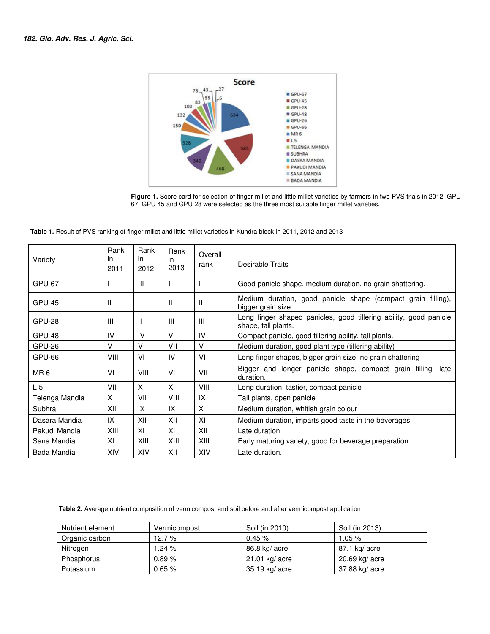

**Figure 1.** Score card for selection of finger millet and little millet varieties by farmers in two PVS trials in 2012. GPU 67, GPU 45 and GPU 28 were selected as the three most suitable finger millet varieties.

 **Table 1.** Result of PVS ranking of finger millet and little millet varieties in Kundra block in 2011, 2012 and 2013

| Variety         | Rank<br>in<br>2011 | Rank<br>in.<br>2012 | Rank<br>in<br>2013 | Overall<br>rank | Desirable Traits                                                                         |
|-----------------|--------------------|---------------------|--------------------|-----------------|------------------------------------------------------------------------------------------|
| GPU-67          |                    | Ш                   | Ι.                 |                 | Good panicle shape, medium duration, no grain shattering.                                |
| <b>GPU-45</b>   | H                  |                     | $\mathbf{H}$       | $\mathbf{H}$    | Medium duration, good panicle shape (compact grain filling),<br>bigger grain size.       |
| GPU-28          | Ш                  | $\mathbf{H}$        | Ш                  | Ш               | Long finger shaped panicles, good tillering ability, good panicle<br>shape, tall plants. |
| GPU-48          | IV                 | IV                  | V                  | IV              | Compact panicle, good tillering ability, tall plants.                                    |
| GPU-26          | v                  | v                   | VII                | v               | Medium duration, good plant type (tillering ability)                                     |
| GPU-66          | VIII               | VI                  | IV                 | VI              | Long finger shapes, bigger grain size, no grain shattering                               |
| MR <sub>6</sub> | VI                 | VIII                | VI                 | VII             | Bigger and longer panicle shape, compact grain filling, late<br>duration.                |
| L 5             | VII                | X                   | X                  | <b>VIII</b>     | Long duration, tastier, compact panicle                                                  |
| Telenga Mandia  | X                  | VII                 | VIII               | IX              | Tall plants, open panicle                                                                |
| Subhra          | XII                | IX                  | IX                 | X               | Medium duration, whitish grain colour                                                    |
| Dasara Mandia   | IX                 | XII                 | XII                | XI              | Medium duration, imparts good taste in the beverages.                                    |
| Pakudi Mandia   | XIII               | XI                  | XI                 | XII             | Late duration                                                                            |
| Sana Mandia     | XI                 | XIII                | XIII               | XIII            | Early maturing variety, good for beverage preparation.                                   |
| Bada Mandia     | XIV                | XIV                 | XII                | XIV             | Late duration.                                                                           |

 **Table 2.** Average nutrient composition of vermicompost and soil before and after vermicompost application

| Nutrient element | Vermicompost | Soil (in 2010)   | Soil (in 2013) |
|------------------|--------------|------------------|----------------|
| Organic carbon   | 12.7 $%$     | 0.45%            | $1.05\,\%$     |
| Nitrogen         | 1.24%        | 86.8 kg/ acre    | 87.1 kg/ acre  |
| Phosphorus       | 0.89%        | $21.01$ kg/ acre | 20.69 kg/ acre |
| Potassium        | $0.65 \%$    | 35.19 kg/ acre   | 37.88 kg/ acre |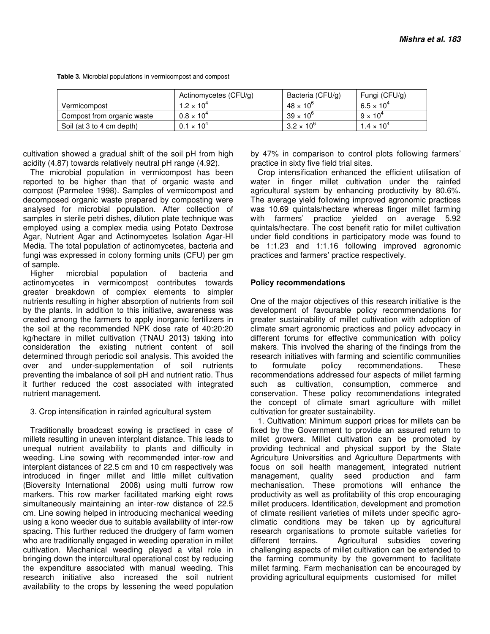**Table 3.** Microbial populations in vermicompost and compost

|                            | Actinomycetes (CFU/g) | Bacteria (CFU/g)    | Fungi (CFU/g)       |
|----------------------------|-----------------------|---------------------|---------------------|
| Vermicompost               | 1.2 $\times$ 10 $^4$  | $48 \times 10^{6}$  | $6.5 \times 10^{4}$ |
| Compost from organic waste | $0.8 \times 10^{4}$   | $39 \times 10^{6}$  | $9 \times 10^4$     |
| Soil (at 3 to 4 cm depth)  | $0.1 \times 10^{4}$   | $3.2 \times 10^{6}$ | $1.4 \times 10^{4}$ |

cultivation showed a gradual shift of the soil pH from high acidity (4.87) towards relatively neutral pH range (4.92).

The microbial population in vermicompost has been reported to be higher than that of organic waste and compost (Parmelee 1998). Samples of vermicompost and decomposed organic waste prepared by composting were analysed for microbial population. After collection of samples in sterile petri dishes, dilution plate technique was employed using a complex media using Potato Dextrose Agar, Nutrient Agar and Actinomycetes Isolation Agar-HI Media. The total population of actinomycetes, bacteria and fungi was expressed in colony forming units (CFU) per gm of sample.

Higher microbial population of bacteria and actinomycetes in vermicompost contributes towards greater breakdown of complex elements to simpler nutrients resulting in higher absorption of nutrients from soil by the plants. In addition to this initiative, awareness was created among the farmers to apply inorganic fertilizers in the soil at the recommended NPK dose rate of 40:20:20 kg/hectare in millet cultivation (TNAU 2013) taking into consideration the existing nutrient content of soil determined through periodic soil analysis. This avoided the over and under-supplementation of soil nutrients preventing the imbalance of soil pH and nutrient ratio. Thus it further reduced the cost associated with integrated nutrient management.

## 3. Crop intensification in rainfed agricultural system

Traditionally broadcast sowing is practised in case of millets resulting in uneven interplant distance. This leads to unequal nutrient availability to plants and difficulty in weeding. Line sowing with recommended inter-row and interplant distances of 22.5 cm and 10 cm respectively was introduced in finger millet and little millet cultivation (Bioversity International 2008) using multi furrow row markers. This row marker facilitated marking eight rows simultaneously maintaining an inter-row distance of 22.5 cm. Line sowing helped in introducing mechanical weeding using a kono weeder due to suitable availability of inter-row spacing. This further reduced the drudgery of farm women who are traditionally engaged in weeding operation in millet cultivation. Mechanical weeding played a vital role in bringing down the intercultural operational cost by reducing the expenditure associated with manual weeding. This research initiative also increased the soil nutrient availability to the crops by lessening the weed population

by 47% in comparison to control plots following farmers' practice in sixty five field trial sites.

Crop intensification enhanced the efficient utilisation of water in finger millet cultivation under the rainfed agricultural system by enhancing productivity by 80.6%. The average yield following improved agronomic practices was 10.69 quintals/hectare whereas finger millet farming with farmers' practice yielded on average 5.92 quintals/hectare. The cost benefit ratio for millet cultivation under field conditions in participatory mode was found to be 1:1.23 and 1:1.16 following improved agronomic practices and farmers' practice respectively.

## **Policy recommendations**

One of the major objectives of this research initiative is the development of favourable policy recommendations for greater sustainability of millet cultivation with adoption of climate smart agronomic practices and policy advocacy in different forums for effective communication with policy makers. This involved the sharing of the findings from the research initiatives with farming and scientific communities to formulate policy recommendations. These recommendations addressed four aspects of millet farming such as cultivation, consumption, commerce and conservation. These policy recommendations integrated the concept of climate smart agriculture with millet cultivation for greater sustainability.

1. Cultivation: Minimum support prices for millets can be fixed by the Government to provide an assured return to millet growers. Millet cultivation can be promoted by providing technical and physical support by the State Agriculture Universities and Agriculture Departments with focus on soil health management, integrated nutrient management, quality seed production and farm mechanisation. These promotions will enhance the productivity as well as profitability of this crop encouraging millet producers. Identification, development and promotion of climate resilient varieties of millets under specific agroclimatic conditions may be taken up by agricultural research organisations to promote suitable varieties for different terrains. Agricultural subsidies covering challenging aspects of millet cultivation can be extended to the farming community by the government to facilitate millet farming. Farm mechanisation can be encouraged by providing agricultural equipments customised for millet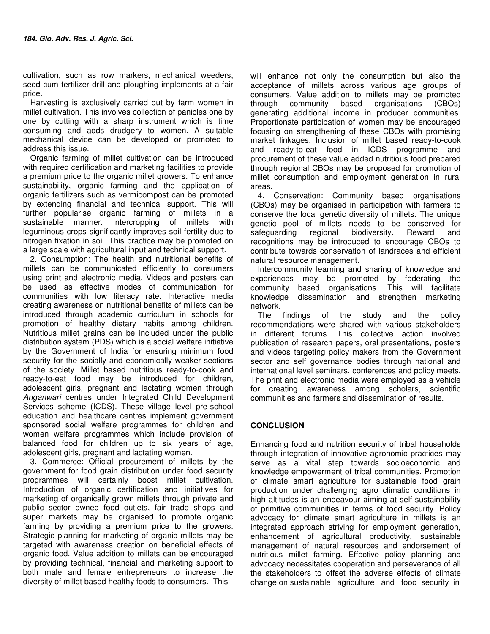cultivation, such as row markers, mechanical weeders, seed cum fertilizer drill and ploughing implements at a fair price.

Harvesting is exclusively carried out by farm women in millet cultivation. This involves collection of panicles one by one by cutting with a sharp instrument which is time consuming and adds drudgery to women. A suitable mechanical device can be developed or promoted to address this issue.

Organic farming of millet cultivation can be introduced with required certification and marketing facilities to provide a premium price to the organic millet growers. To enhance sustainability, organic farming and the application of organic fertilizers such as vermicompost can be promoted by extending financial and technical support. This will further popularise organic farming of millets in a sustainable manner. Intercropping of millets with leguminous crops significantly improves soil fertility due to nitrogen fixation in soil. This practice may be promoted on a large scale with agricultural input and technical support.

2. Consumption: The health and nutritional benefits of millets can be communicated efficiently to consumers using print and electronic media. Videos and posters can be used as effective modes of communication for communities with low literacy rate. Interactive media creating awareness on nutritional benefits of millets can be introduced through academic curriculum in schools for promotion of healthy dietary habits among children. Nutritious millet grains can be included under the public distribution system (PDS) which is a social welfare initiative by the Government of India for ensuring minimum food security for the socially and economically weaker sections of the society. Millet based nutritious ready-to-cook and ready-to-eat food may be introduced for children, adolescent girls, pregnant and lactating women through Anganwari centres under Integrated Child Development Services scheme (ICDS). These village level pre-school education and healthcare centres implement government sponsored social welfare programmes for children and women welfare programmes which include provision of balanced food for children up to six years of age, adolescent girls, pregnant and lactating women.

3. Commerce: Official procurement of millets by the government for food grain distribution under food security programmes will certainly boost millet cultivation. Introduction of organic certification and initiatives for marketing of organically grown millets through private and public sector owned food outlets, fair trade shops and super markets may be organised to promote organic farming by providing a premium price to the growers. Strategic planning for marketing of organic millets may be targeted with awareness creation on beneficial effects of organic food. Value addition to millets can be encouraged by providing technical, financial and marketing support to both male and female entrepreneurs to increase the diversity of millet based healthy foods to consumers. This

will enhance not only the consumption but also the acceptance of millets across various age groups of consumers. Value addition to millets may be promoted through community based organisations (CBOs) generating additional income in producer communities. Proportionate participation of women may be encouraged focusing on strengthening of these CBOs with promising market linkages. Inclusion of millet based ready-to-cook and ready-to-eat food in ICDS programme and procurement of these value added nutritious food prepared through regional CBOs may be proposed for promotion of millet consumption and employment generation in rural areas.

4. Conservation: Community based organisations (CBOs) may be organised in participation with farmers to conserve the local genetic diversity of millets. The unique genetic pool of millets needs to be conserved for safeguarding regional biodiversity. Reward and recognitions may be introduced to encourage CBOs to contribute towards conservation of landraces and efficient natural resource management.

Intercommunity learning and sharing of knowledge and experiences may be promoted by federating the community based organisations. This will facilitate knowledge dissemination and strengthen marketing network.

The findings of the study and the policy recommendations were shared with various stakeholders in different forums. This collective action involved publication of research papers, oral presentations, posters and videos targeting policy makers from the Government sector and self governance bodies through national and international level seminars, conferences and policy meets. The print and electronic media were employed as a vehicle for creating awareness among scholars, scientific communities and farmers and dissemination of results.

## **CONCLUSION**

Enhancing food and nutrition security of tribal households through integration of innovative agronomic practices may serve as a vital step towards socioeconomic and knowledge empowerment of tribal communities. Promotion of climate smart agriculture for sustainable food grain production under challenging agro climatic conditions in high altitudes is an endeavour aiming at self-sustainability of primitive communities in terms of food security. Policy advocacy for climate smart agriculture in millets is an integrated approach striving for employment generation, enhancement of agricultural productivity, sustainable management of natural resources and endorsement of nutritious millet farming. Effective policy planning and advocacy necessitates cooperation and perseverance of all the stakeholders to offset the adverse effects of climate change on sustainable agriculture and food security in